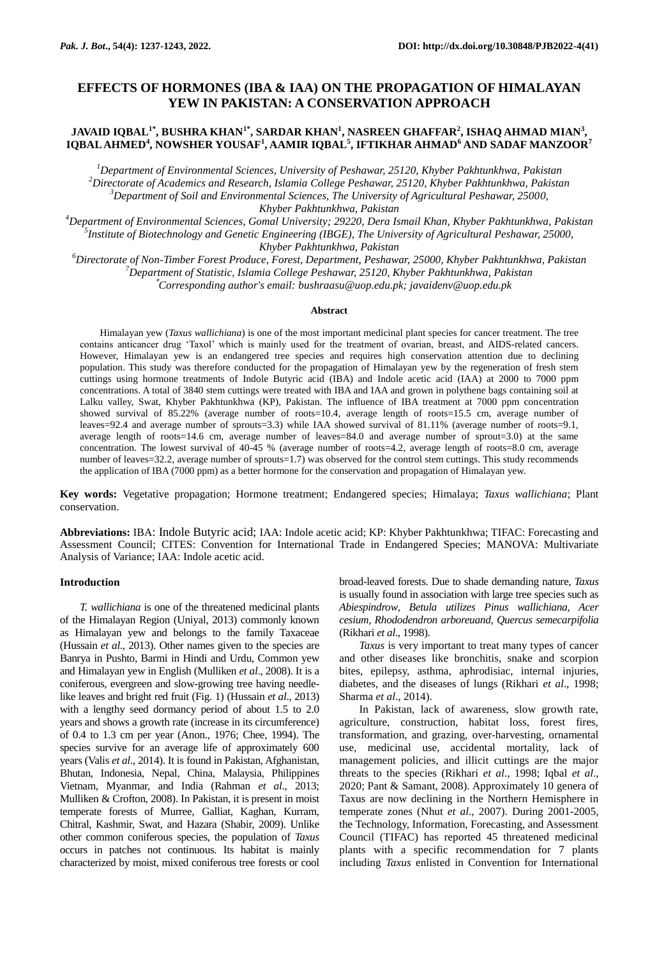# **EFFECTS OF HORMONES (IBA & IAA) ON THE PROPAGATION OF HIMALAYAN YEW IN PAKISTAN: A CONSERVATION APPROACH**

## **JAVAID IQBAL1\*, BUSHRA KHAN1\*, SARDAR KHAN<sup>1</sup> , NASREEN GHAFFAR<sup>2</sup> , ISHAQ AHMAD MIAN<sup>3</sup> , IQBAL AHMED<sup>4</sup> , NOWSHER YOUSAF<sup>1</sup> , AAMIR IQBAL<sup>5</sup> , IFTIKHAR AHMAD<sup>6</sup> AND SADAF MANZOOR<sup>7</sup>**

*Department of Environmental Sciences, University of Peshawar, 25120, Khyber Pakhtunkhwa, Pakistan Directorate of Academics and Research, Islamia College Peshawar, 25120, Khyber Pakhtunkhwa, Pakistan Department of Soil and Environmental Sciences, The University of Agricultural Peshawar, 25000, Khyber Pakhtunkhwa, Pakistan*

*<sup>4</sup>Department of Environmental Sciences, Gomal University; 29220, Dera Ismail Khan, Khyber Pakhtunkhwa, Pakistan 5 Institute of Biotechnology and Genetic Engineering (IBGE), The University of Agricultural Peshawar, 25000, Khyber Pakhtunkhwa, Pakistan*

*<sup>6</sup>Directorate of Non-Timber Forest Produce, Forest, Department, Peshawar, 25000, Khyber Pakhtunkhwa, Pakistan <sup>7</sup>Department of Statistic, Islamia College Peshawar, 25120, Khyber Pakhtunkhwa, Pakistan* \**Corresponding author's email: bushraasu@uop.edu.pk; javaidenv@uop.edu.pk*

#### **Abstract**

Himalayan yew (*Taxus wallichiana*) is one of the most important medicinal plant species for cancer treatment. The tree contains anticancer drug 'Taxol' which is mainly used for the treatment of ovarian, breast, and AIDS-related cancers. However, Himalayan yew is an endangered tree species and requires high conservation attention due to declining population. This study was therefore conducted for the propagation of Himalayan yew by the regeneration of fresh stem cuttings using hormone treatments of Indole Butyric acid (IBA) and Indole acetic acid (IAA) at 2000 to 7000 ppm concentrations. A total of 3840 stem cuttings were treated with IBA and IAA and grown in polythene bags containing soil at Lalku valley, Swat, Khyber Pakhtunkhwa (KP), Pakistan. The influence of IBA treatment at 7000 ppm concentration showed survival of 85.22% (average number of roots=10.4, average length of roots=15.5 cm, average number of leaves=92.4 and average number of sprouts=3.3) while IAA showed survival of 81.11% (average number of roots=9.1, average length of roots=14.6 cm, average number of leaves=84.0 and average number of sprout=3.0) at the same concentration. The lowest survival of 40-45 % (average number of roots=4.2, average length of roots=8.0 cm, average number of leaves=32.2, average number of sprouts=1.7) was observed for the control stem cuttings. This study recommends the application of IBA (7000 ppm) as a better hormone for the conservation and propagation of Himalayan yew.

**Key words:** Vegetative propagation; Hormone treatment; Endangered species; Himalaya; *Taxus wallichiana*; Plant conservation.

**Abbreviations:** IBA: Indole Butyric acid; IAA: Indole acetic acid; KP: Khyber Pakhtunkhwa; TIFAC: Forecasting and Assessment Council; CITES: Convention for International Trade in Endangered Species; MANOVA: Multivariate Analysis of Variance; IAA: Indole acetic acid.

## **Introduction**

*T. wallichiana* is one of the threatened medicinal plants of the Himalayan Region (Uniyal, 2013) commonly known as Himalayan yew and belongs to the family Taxaceae (Hussain *et al*., 2013). Other names given to the species are Banrya in Pushto, Barmi in Hindi and Urdu, Common yew and Himalayan yew in English (Mulliken *et al*., 2008). It is a coniferous, evergreen and slow-growing tree having needlelike leaves and bright red fruit (Fig. 1) (Hussain *et al*., 2013) with a lengthy seed dormancy period of about 1.5 to 2.0 years and shows a growth rate (increase in its circumference) of 0.4 to 1.3 cm per year (Anon., 1976; Chee, 1994). The species survive for an average life of approximately 600 years (Valis *et al*., 2014). It is found in Pakistan, Afghanistan, Bhutan, Indonesia, Nepal, China, Malaysia, Philippines Vietnam, Myanmar, and India (Rahman *et al*., 2013; Mulliken & Crofton, 2008). In Pakistan, it is present in moist temperate forests of Murree, Galliat, Kaghan, Kurram, Chitral, Kashmir, Swat, and Hazara (Shabir, 2009). Unlike other common coniferous species, the population of *Taxus* occurs in patches not continuous. Its habitat is mainly characterized by moist, mixed coniferous tree forests or cool

broad-leaved forests. Due to shade demanding nature, *Taxus* is usually found in association with large tree species such as *Abiespindrow, Betula utilizes Pinus wallichiana, Acer cesium, Rhododendron arboreuand, Quercus semecarpifolia*  (Rikhari *et al*., 1998).

*Taxus* is very important to treat many types of cancer and other diseases like bronchitis, snake and scorpion bites, epilepsy, asthma, aphrodisiac, internal injuries, diabetes, and the diseases of lungs (Rikhari *et al*., 1998; Sharma *et al*., 2014).

In Pakistan, lack of awareness, slow growth rate, agriculture, construction, habitat loss, forest fires, transformation, and grazing, over-harvesting, ornamental use, medicinal use, accidental mortality, lack of management policies, and illicit cuttings are the major threats to the species (Rikhari *et al*., 1998; Iqbal *et al*., 2020; Pant & Samant, 2008). Approximately 10 genera of Taxus are now declining in the Northern Hemisphere in temperate zones (Nhut *et al*., 2007). During 2001-2005, the Technology, Information, Forecasting, and Assessment Council (TIFAC) has reported 45 threatened medicinal plants with a specific recommendation for 7 plants including *Taxus* enlisted in Convention for International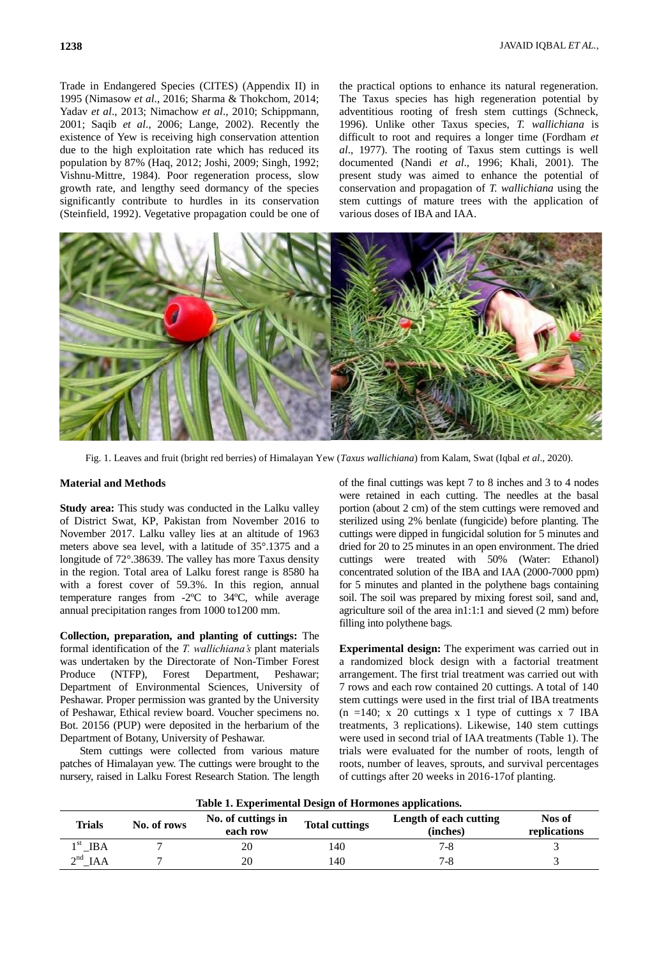Trade in Endangered Species (CITES) (Appendix II) in 1995 (Nimasow *et al*., 2016; Sharma & Thokchom, 2014; Yadav *et al*., 2013; Nimachow *et al*., 2010; Schippmann, 2001; Saqib *et al*., 2006; Lange, 2002). Recently the existence of Yew is receiving high conservation attention due to the high exploitation rate which has reduced its population by 87% (Haq, 2012; Joshi, 2009; Singh, 1992; Vishnu-Mittre, 1984). Poor regeneration process, slow growth rate, and lengthy seed dormancy of the species significantly contribute to hurdles in its conservation (Steinfield, 1992). Vegetative propagation could be one of

the practical options to enhance its natural regeneration. The Taxus species has high regeneration potential by adventitious rooting of fresh stem cuttings (Schneck, 1996). Unlike other Taxus species, *T. wallichiana* is difficult to root and requires a longer time (Fordham *et al*., 1977). The rooting of Taxus stem cuttings is well documented (Nandi *et al*., 1996; Khali, 2001). The present study was aimed to enhance the potential of conservation and propagation of *T. wallichiana* using the stem cuttings of mature trees with the application of various doses of IBA and IAA.



Fig. 1. Leaves and fruit (bright red berries) of Himalayan Yew (*Taxus wallichiana*) from Kalam, Swat (Iqbal *et al*., 2020).

### **Material and Methods**

**Study area:** This study was conducted in the Lalku valley of District Swat, KP, Pakistan from November 2016 to November 2017. Lalku valley lies at an altitude of 1963 meters above sea level, with a latitude of 35°.1375 and a longitude of 72°.38639. The valley has more Taxus density in the region. Total area of Lalku forest range is 8580 ha with a forest cover of 59.3%. In this region, annual temperature ranges from -2ºC to 34ºC, while average annual precipitation ranges from 1000 to1200 mm.

**Collection, preparation, and planting of cuttings:** The formal identification of the *T. wallichiana's* plant materials was undertaken by the Directorate of Non-Timber Forest Produce (NTFP), Forest Department, Peshawar; Department of Environmental Sciences, University of Peshawar. Proper permission was granted by the University of Peshawar, Ethical review board. Voucher specimens no. Bot. 20156 (PUP) were deposited in the herbarium of the Department of Botany, University of Peshawar.

Stem cuttings were collected from various mature patches of Himalayan yew. The cuttings were brought to the nursery, raised in Lalku Forest Research Station. The length of the final cuttings was kept 7 to 8 inches and 3 to 4 nodes were retained in each cutting. The needles at the basal portion (about 2 cm) of the stem cuttings were removed and sterilized using 2% benlate (fungicide) before planting. The cuttings were dipped in fungicidal solution for 5 minutes and dried for 20 to 25 minutes in an open environment. The dried cuttings were treated with 50% (Water: Ethanol) concentrated solution of the IBA and IAA (2000-7000 ppm) for 5 minutes and planted in the polythene bags containing soil. The soil was prepared by mixing forest soil, sand and, agriculture soil of the area in1:1:1 and sieved (2 mm) before filling into polythene bags.

**Experimental design:** The experiment was carried out in a randomized block design with a factorial treatment arrangement. The first trial treatment was carried out with 7 rows and each row contained 20 cuttings. A total of 140 stem cuttings were used in the first trial of IBA treatments  $(n = 140; x 20$  cuttings x 1 type of cuttings x 7 IBA treatments, 3 replications). Likewise, 140 stem cuttings were used in second trial of IAA treatments (Table 1). The trials were evaluated for the number of roots, length of roots, number of leaves, sprouts, and survival percentages of cuttings after 20 weeks in 2016-17of planting.

| Table 1. Experimental Design of Hormones applications. |             |                                |                       |                                    |                        |  |  |
|--------------------------------------------------------|-------------|--------------------------------|-----------------------|------------------------------------|------------------------|--|--|
| Trials                                                 | No. of rows | No. of cuttings in<br>each row | <b>Total cuttings</b> | Length of each cutting<br>(inches) | Nos of<br>replications |  |  |
| $1st$ IBA                                              |             | 20                             | 140                   | 7-8                                |                        |  |  |
| $2^{nd}$ IAA                                           |             | 20                             | 140                   | 7-8                                |                        |  |  |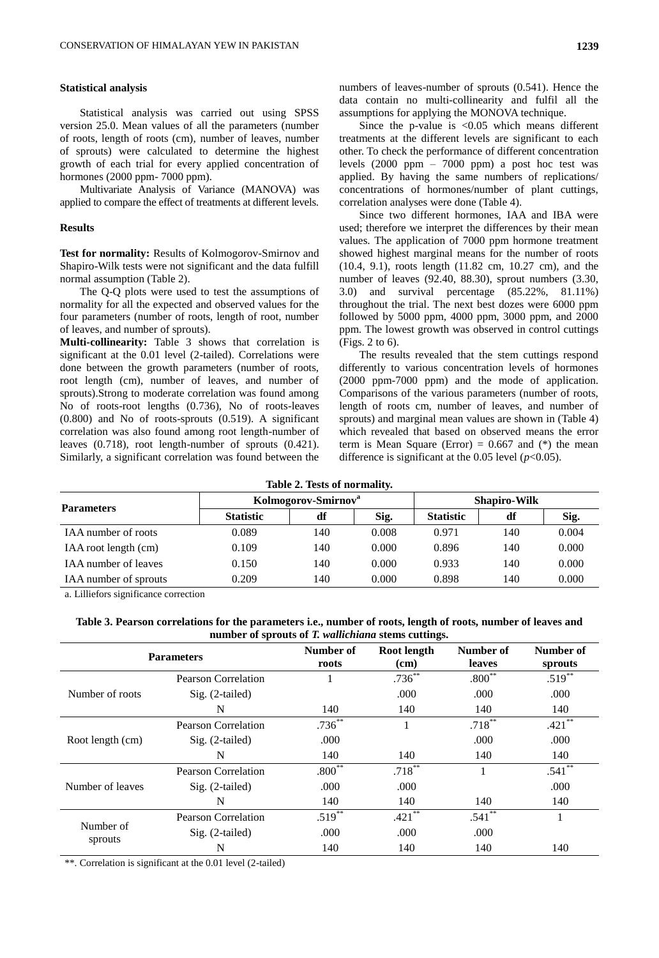## **Statistical analysis**

Statistical analysis was carried out using SPSS version 25.0. Mean values of all the parameters (number of roots, length of roots (cm), number of leaves, number of sprouts) were calculated to determine the highest growth of each trial for every applied concentration of hormones (2000 ppm- 7000 ppm).

Multivariate Analysis of Variance (MANOVA) was applied to compare the effect of treatments at different levels.

#### **Results**

Test for normality: Results of Kolmogorov-Smirnov and Shapiro-Wilk tests were not significant and the data fulfill normal assumption (Table 2).

The Q-Q plots were used to test the assumptions of normality for all the expected and observed values for the four parameters (number of roots, length of root, number of leaves, and number of sprouts).

**Multi-collinearity:** Table 3 shows that correlation is significant at the 0.01 level (2-tailed). Correlations were done between the growth parameters (number of roots, root length (cm), number of leaves, and number of sprouts).Strong to moderate correlation was found among No of roots-root lengths (0.736), No of roots-leaves (0.800) and No of roots-sprouts (0.519). A significant correlation was also found among root length-number of leaves (0.718), root length-number of sprouts (0.421). Similarly, a significant correlation was found between the

Since the p-value is  $< 0.05$  which means different treatments at the different levels are significant to each other. To check the performance of different concentration levels (2000 ppm – 7000 ppm) a post hoc test was applied. By having the same numbers of replications/ concentrations of hormones/number of plant cuttings, correlation analyses were done (Table 4).

Since two different hormones, IAA and IBA were used; therefore we interpret the differences by their mean values. The application of 7000 ppm hormone treatment showed highest marginal means for the number of roots (10.4, 9.1), roots length (11.82 cm, 10.27 cm), and the number of leaves (92.40, 88.30), sprout numbers (3.30, 3.0) and survival percentage (85.22%, 81.11%) throughout the trial. The next best dozes were 6000 ppm followed by 5000 ppm, 4000 ppm, 3000 ppm, and 2000 ppm. The lowest growth was observed in control cuttings (Figs. 2 to 6).

The results revealed that the stem cuttings respond differently to various concentration levels of hormones (2000 ppm-7000 ppm) and the mode of application. Comparisons of the various parameters (number of roots, length of roots cm, number of leaves, and number of sprouts) and marginal mean values are shown in (Table 4) which revealed that based on observed means the error term is Mean Square (Error) =  $0.667$  and (\*) the mean difference is significant at the 0.05 level  $(p<0.05)$ .

## **Table 2. Tests of normality.**

|                             | Kolmogorov-Smirnov <sup>a</sup> |     |       | <b>Shapiro-Wilk</b> |     |       |  |  |
|-----------------------------|---------------------------------|-----|-------|---------------------|-----|-------|--|--|
| <b>Parameters</b>           | <b>Statistic</b>                | df  | Sig.  | <b>Statistic</b>    | df  | Sig.  |  |  |
| IAA number of roots         | 0.089                           | 140 | 0.008 | 0.971               | 140 | 0.004 |  |  |
| IAA root length (cm)        | 0.109                           | 140 | 0.000 | 0.896               | 140 | 0.000 |  |  |
| <b>IAA</b> number of leaves | 0.150                           | 140 | 0.000 | 0.933               | 140 | 0.000 |  |  |
| IAA number of sprouts       | 0.209                           | 140 | 0.000 | 0.898               | 140 | 0.000 |  |  |

a. Lilliefors significance correction

| Table 3. Pearson correlations for the parameters i.e., number of roots, length of roots, number of leaves and |
|---------------------------------------------------------------------------------------------------------------|
| number of sprouts of T. <i>wallichiana</i> stems cuttings.                                                    |

|                      | <b>Parameters</b>          | Number of<br>roots | Root length<br>(cm) | Number of<br>leaves | Number of<br>sprouts |
|----------------------|----------------------------|--------------------|---------------------|---------------------|----------------------|
|                      | <b>Pearson Correlation</b> |                    | $.736***$           | $.800**$            | $.519***$            |
| Number of roots      | $Sig. (2-tailed)$          |                    | .000                | .000                | .000                 |
|                      | N                          | 140                | 140                 | 140                 | 140                  |
|                      | Pearson Correlation        | $.736^{**}$        |                     | $.718***$           | $.421$ **            |
| Root length (cm)     | $Sig. (2-tailed)$          | .000               |                     | .000                | .000                 |
|                      | N                          | 140                | 140                 | 140                 | 140                  |
|                      | Pearson Correlation        | $.800**$           | $.718***$           |                     | $.541$ **            |
| Number of leaves     | $Sig. (2-tailed)$          | .000               | .000                |                     | .000                 |
|                      | N                          | 140                | 140                 | 140                 | 140                  |
|                      | Pearson Correlation        | $.519***$          | $.421$ **           | $.541**$            |                      |
| Number of<br>sprouts | $Sig. (2-tailed)$          | .000               | .000                | .000                |                      |
|                      | N                          | 140                | 140                 | 140                 | 140                  |

\*\*. Correlation is significant at the 0.01 level (2-tailed)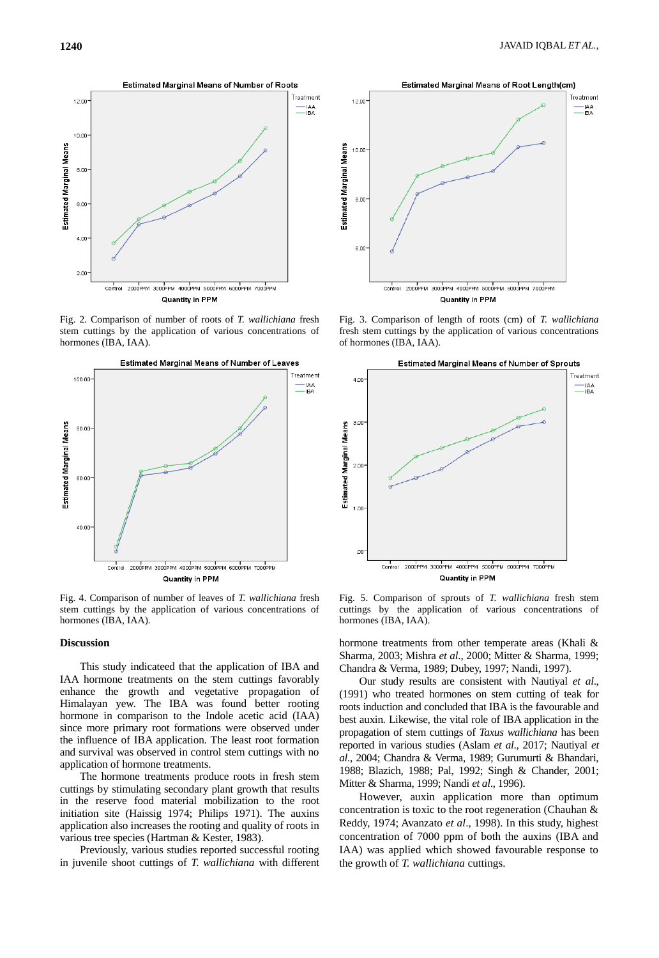

Fig. 2. Comparison of number of roots of *T. wallichiana* fresh stem cuttings by the application of various concentrations of hormones (IBA, IAA).



Fig. 4. Comparison of number of leaves of *T. wallichiana* fresh stem cuttings by the application of various concentrations of hormones (IBA, IAA).

### **Discussion**

This study indicateed that the application of IBA and IAA hormone treatments on the stem cuttings favorably enhance the growth and vegetative propagation of Himalayan yew. The IBA was found better rooting hormone in comparison to the Indole acetic acid (IAA) since more primary root formations were observed under the influence of IBA application. The least root formation and survival was observed in control stem cuttings with no application of hormone treatments.

The hormone treatments produce roots in fresh stem cuttings by stimulating secondary plant growth that results in the reserve food material mobilization to the root initiation site (Haissig 1974; Philips 1971). The auxins application also increases the rooting and quality of roots in various tree species (Hartman & Kester, 1983).

Previously, various studies reported successful rooting in juvenile shoot cuttings of *T. wallichiana* with different



Fig. 3. Comparison of length of roots (cm) of *T. wallichiana* fresh stem cuttings by the application of various concentrations of hormones (IBA, IAA).



Fig. 5. Comparison of sprouts of *T. wallichiana* fresh stem cuttings by the application of various concentrations of hormones (IBA, IAA).

hormone treatments from other temperate areas (Khali & Sharma, 2003; Mishra *et al*., 2000; Mitter & Sharma, 1999; Chandra & Verma, 1989; Dubey, 1997; Nandi, 1997).

Our study results are consistent with Nautiyal *et al*., (1991) who treated hormones on stem cutting of teak for roots induction and concluded that IBA is the favourable and best auxin. Likewise, the vital role of IBA application in the propagation of stem cuttings of *Taxus wallichiana* has been reported in various studies (Aslam *et al*., 2017; Nautiyal *et al*., 2004; Chandra & Verma, 1989; Gurumurti & Bhandari, 1988; Blazich, 1988; Pal, 1992; Singh & Chander, 2001; Mitter & Sharma, 1999; Nandi *et al*., 1996).

However, auxin application more than optimum concentration is toxic to the root regeneration (Chauhan & Reddy, 1974; Avanzato *et al*., 1998). In this study, highest concentration of 7000 ppm of both the auxins (IBA and IAA) was applied which showed favourable response to the growth of *T. wallichiana* cuttings.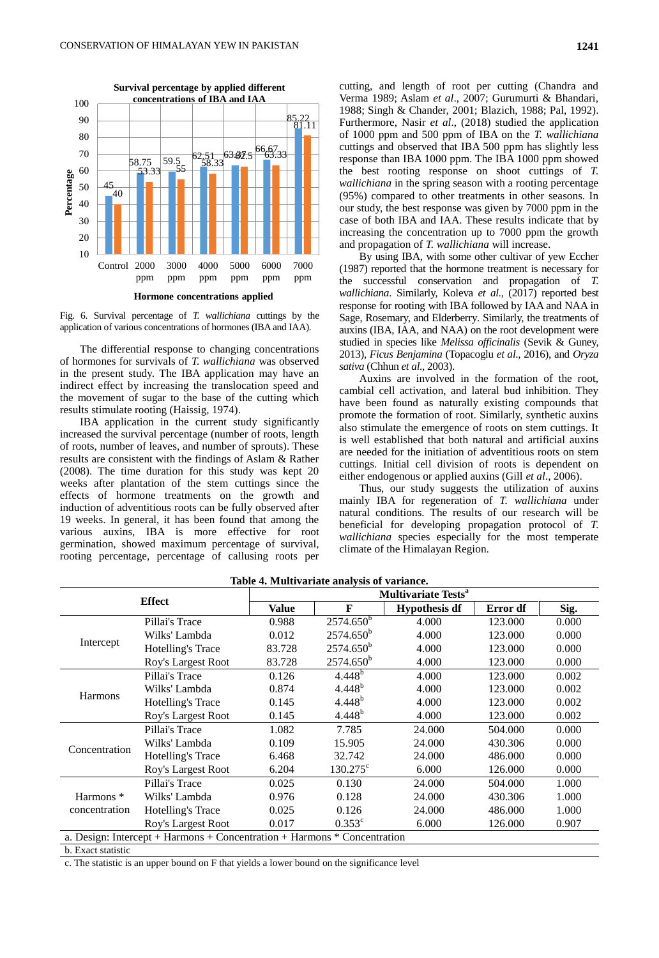

Fig. 6. Survival percentage of *T. wallichiana* cuttings by the application of various concentrations of hormones (IBA and IAA).

The differential response to changing concentrations of hormones for survivals of *T. wallichiana* was observed in the present study. The IBA application may have an indirect effect by increasing the translocation speed and the movement of sugar to the base of the cutting which results stimulate rooting (Haissig, 1974).

IBA application in the current study significantly increased the survival percentage (number of roots, length of roots, number of leaves, and number of sprouts). These results are consistent with the findings of Aslam & Rather (2008). The time duration for this study was kept 20 weeks after plantation of the stem cuttings since the effects of hormone treatments on the growth and induction of adventitious roots can be fully observed after 19 weeks. In general, it has been found that among the various auxins, IBA is more effective for root germination, showed maximum percentage of survival, rooting percentage, percentage of callusing roots per

cutting, and length of root per cutting (Chandra and Verma 1989; Aslam *et al*., 2007; Gurumurti & Bhandari, 1988; Singh & Chander, 2001; Blazich, 1988; Pal, 1992). Furthermore, Nasir *et al*., (2018) studied the application of 1000 ppm and 500 ppm of IBA on the *T. wallichiana* cuttings and observed that IBA 500 ppm has slightly less response than IBA 1000 ppm. The IBA 1000 ppm showed the best rooting response on shoot cuttings of *T. wallichiana* in the spring season with a rooting percentage (95%) compared to other treatments in other seasons. In our study, the best response was given by 7000 ppm in the case of both IBA and IAA. These results indicate that by increasing the concentration up to 7000 ppm the growth and propagation of *T. wallichiana* will increase.

By using IBA, with some other cultivar of yew Eccher (1987) reported that the hormone treatment is necessary for the successful conservation and propagation of *T. wallichiana*. Similarly, Koleva *et al*., (2017) reported best response for rooting with IBA followed by IAA and NAA in Sage, Rosemary, and Elderberry. Similarly, the treatments of auxins (IBA, IAA, and NAA) on the root development were studied in species like *Melissa officinalis* (Sevik & Guney, 2013), *Ficus Benjamina* (Topacoglu *et al*., 2016), and *Oryza sativa* (Chhun *et al*., 2003).

Auxins are involved in the formation of the root, cambial cell activation, and lateral bud inhibition. They have been found as naturally existing compounds that promote the formation of root. Similarly, synthetic auxins also stimulate the emergence of roots on stem cuttings. It is well established that both natural and artificial auxins are needed for the initiation of adventitious roots on stem cuttings. Initial cell division of roots is dependent on either endogenous or applied auxins (Gill *et al*., 2006).

Thus, our study suggests the utilization of auxins mainly IBA for regeneration of *T. wallichiana* under natural conditions. The results of our research will be beneficial for developing propagation protocol of *T. wallichiana* species especially for the most temperate climate of the Himalayan Region.

| <b>Effect</b>                                                            |                          | <b>Multivariate Tests<sup>a</sup></b> |                   |                      |          |       |  |  |
|--------------------------------------------------------------------------|--------------------------|---------------------------------------|-------------------|----------------------|----------|-------|--|--|
|                                                                          |                          | Value                                 | F                 | <b>Hypothesis df</b> | Error df | Sig.  |  |  |
| Intercept                                                                | Pillai's Trace           | 0.988                                 | $2574.650^b$      | 4.000                | 123.000  | 0.000 |  |  |
|                                                                          | Wilks' Lambda            | 0.012                                 | $2574.650^b$      | 4.000                | 123.000  | 0.000 |  |  |
|                                                                          | <b>Hotelling's Trace</b> | 83.728                                | $2574.650^b$      | 4.000                | 123.000  | 0.000 |  |  |
|                                                                          | Roy's Largest Root       | 83.728                                | $2574.650^b$      | 4.000                | 123.000  | 0.000 |  |  |
|                                                                          | Pillai's Trace           | 0.126                                 | $4.448^{b}$       | 4.000                | 123.000  | 0.002 |  |  |
|                                                                          | Wilks' Lambda            | 0.874                                 | $4.448^{b}$       | 4.000                | 123.000  | 0.002 |  |  |
| Harmons                                                                  | Hotelling's Trace        | 0.145                                 | $4.448^{b}$       | 4.000                | 123.000  | 0.002 |  |  |
|                                                                          | Roy's Largest Root       | 0.145                                 | $4.448^{b}$       | 4.000                | 123.000  | 0.002 |  |  |
|                                                                          | Pillai's Trace           | 1.082                                 | 7.785             | 24.000               | 504.000  | 0.000 |  |  |
| Concentration                                                            | Wilks' Lambda            | 0.109                                 | 15.905            | 24.000               | 430.306  | 0.000 |  |  |
|                                                                          | <b>Hotelling's Trace</b> | 6.468                                 | 32.742            | 24.000               | 486.000  | 0.000 |  |  |
|                                                                          | Roy's Largest Root       | 6.204                                 | $130.275^{\circ}$ | 6.000                | 126.000  | 0.000 |  |  |
|                                                                          | Pillai's Trace           | 0.025                                 | 0.130             | 24.000               | 504.000  | 1.000 |  |  |
| Harmons <sup>*</sup><br>concentration                                    | Wilks' Lambda            | 0.976                                 | 0.128             | 24.000               | 430.306  | 1.000 |  |  |
|                                                                          | Hotelling's Trace        | 0.025                                 | 0.126             | 24.000               | 486.000  | 1.000 |  |  |
|                                                                          | Roy's Largest Root       | 0.017                                 | $0.353^{\circ}$   | 6.000                | 126.000  | 0.907 |  |  |
| a. Design: Intercept + Harmons + Concentration + Harmons * Concentration |                          |                                       |                   |                      |          |       |  |  |

## **Table 4. Multivariate analysis of variance.**

b. Exact statistic

c. The statistic is an upper bound on F that yields a lower bound on the significance level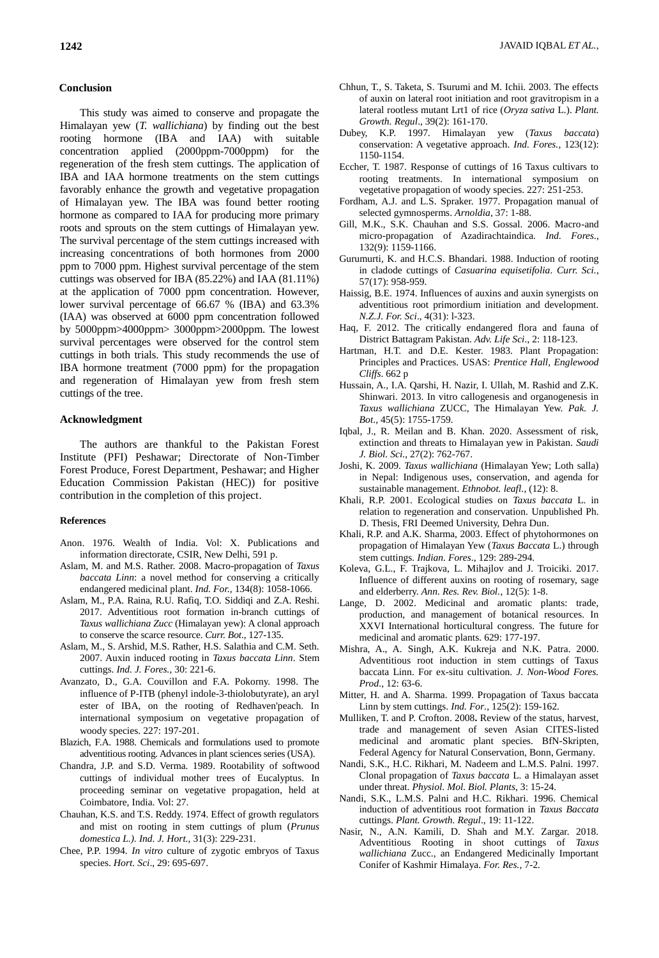This study was aimed to conserve and propagate the Himalayan yew (*T. wallichiana*) by finding out the best rooting hormone (IBA and IAA) with suitable concentration applied (2000ppm-7000ppm) for the regeneration of the fresh stem cuttings. The application of IBA and IAA hormone treatments on the stem cuttings favorably enhance the growth and vegetative propagation of Himalayan yew. The IBA was found better rooting hormone as compared to IAA for producing more primary roots and sprouts on the stem cuttings of Himalayan yew. The survival percentage of the stem cuttings increased with increasing concentrations of both hormones from 2000 ppm to 7000 ppm. Highest survival percentage of the stem cuttings was observed for IBA (85.22%) and IAA (81.11%) at the application of 7000 ppm concentration. However, lower survival percentage of 66.67 % (IBA) and 63.3% (IAA) was observed at 6000 ppm concentration followed by 5000ppm>4000ppm> 3000ppm>2000ppm. The lowest survival percentages were observed for the control stem cuttings in both trials. This study recommends the use of IBA hormone treatment (7000 ppm) for the propagation and regeneration of Himalayan yew from fresh stem cuttings of the tree.

#### **Acknowledgment**

The authors are thankful to the Pakistan Forest Institute (PFI) Peshawar; Directorate of Non-Timber Forest Produce, Forest Department, Peshawar; and Higher Education Commission Pakistan (HEC)) for positive contribution in the completion of this project.

#### **References**

- Anon. 1976. Wealth of India. Vol: X. Publications and information directorate, CSIR, New Delhi, 591 p.
- Aslam, M. and M.S. Rather. 2008. Macro-propagation of *Taxus baccata Linn*: a novel method for conserving a critically endangered medicinal plant. *Ind. For.,* 134(8): 1058-1066.
- Aslam, M., P.A. Raina, R.U. Rafiq, T.O. Siddiqi and Z.A. Reshi. 2017. Adventitious root formation in-branch cuttings of *Taxus wallichiana Zucc* (Himalayan yew): A clonal approach to conserve the scarce resource. *Curr. Bot*., 127-135.
- Aslam, M., S. Arshid, M.S. Rather, H.S. Salathia and C.M. Seth. 2007. Auxin induced rooting in *Taxus baccata Linn*. Stem cuttings. *Ind. J. Fores.*, 30: 221-6.
- Avanzato, D., G.A. Couvillon and F.A. Pokorny. 1998. The influence of P-ITB (phenyl indole-3-thiolobutyrate), an aryl ester of IBA, on the rooting of Redhaven'peach. In international symposium on vegetative propagation of woody species. 227: 197-201.
- Blazich, F.A. 1988. Chemicals and formulations used to promote adventitious rooting. Advances in plant sciences series (USA).
- Chandra, J.P. and S.D. Verma. 1989. Rootability of softwood cuttings of individual mother trees of Eucalyptus. In proceeding seminar on vegetative propagation, held at Coimbatore, India. Vol: 27.
- Chauhan, K.S. and T.S. Reddy. 1974. Effect of growth regulators and mist on rooting in stem cuttings of plum (*Prunus domestica L.). Ind. J. Hort.,* 31(3): 229-231.
- Chee, P.P. 1994. *In vitro* culture of zygotic embryos of Taxus species. *Hort. Sci*., 29: 695-697.
- Chhun, T., S. Taketa, S. Tsurumi and M. Ichii. 2003. The effects of auxin on lateral root initiation and root gravitropism in a lateral rootless mutant Lrt1 of rice (*Oryza sativa* L.). *Plant. Growth. Regul*., 39(2): 161-170.
- Dubey, K.P. 1997. Himalayan yew (*Taxus baccata*) conservation: A vegetative approach. *Ind. Fores.,* 123(12): 1150-1154.
- Eccher, T. 1987. Response of cuttings of 16 Taxus cultivars to rooting treatments. In international symposium on vegetative propagation of woody species. 227: 251-253.
- Fordham, A.J. and L.S. Spraker. 1977. Propagation manual of selected gymnosperms. *Arnoldia*, 37: 1-88.
- Gill, M.K., S.K. Chauhan and S.S. Gossal. 2006. Macro-and micro-propagation of Azadirachtaindica. *Ind. Fores*., 132(9): 1159-1166.
- Gurumurti, K. and H.C.S. Bhandari. 1988. Induction of rooting in cladode cuttings of *Casuarina equisetifolia*. *Curr. Sci.*, 57(17): 958-959.
- Haissig, B.E. 1974. Influences of auxins and auxin synergists on adventitious root primordium initiation and development. *N.Z.J. For. Sci*., 4(31): l-323.
- Haq, F. 2012. The critically endangered flora and fauna of District Battagram Pakistan. *Adv. Life Sci*., 2: 118-123.
- Hartman, H.T. and D.E. Kester. 1983. Plant Propagation: Principles and Practices. USAS: *Prentice Hall, Englewood Cliffs*. 662 p
- Hussain, A., I.A. Qarshi, H. Nazir, I. Ullah, M. Rashid and Z.K. Shinwari. 2013. In vitro callogenesis and organogenesis in *Taxus wallichiana* ZUCC, The Himalayan Yew. *Pak. J. Bot*., 45(5): 1755-1759.
- Iqbal, J., R. Meilan and B. Khan. 2020. Assessment of risk, extinction and threats to Himalayan yew in Pakistan. *Saudi J. Biol. Sci.*, 27(2): 762-767.
- Joshi, K. 2009. *Taxus wallichiana* (Himalayan Yew; Loth salla) in Nepal: Indigenous uses, conservation, and agenda for sustainable management. *Ethnobot. leafl.*, (12): 8.
- Khali, R.P. 2001. Ecological studies on *Taxus baccata* L. in relation to regeneration and conservation. Unpublished Ph. D. Thesis, FRI Deemed University, Dehra Dun.
- Khali, R.P. and A.K. Sharma, 2003. Effect of phytohormones on propagation of Himalayan Yew (*Taxus Baccata* L.) through stem cuttings. *Indian. Fores*., 129: 289-294.
- Koleva, G.L., F. Trajkova, L. Mihajlov and J. Troiciki. 2017. Influence of different auxins on rooting of rosemary, sage and elderberry. *Ann. Res. Rev. Biol.*, 12(5): 1-8.
- Lange, D. 2002. Medicinal and aromatic plants: trade, production, and management of botanical resources. In XXVI International horticultural congress. The future for medicinal and aromatic plants. 629: 177-197.
- Mishra, A., A. Singh, A.K. Kukreja and N.K. Patra. 2000. Adventitious root induction in stem cuttings of Taxus baccata Linn. For ex-situ cultivation. *J. Non-Wood Fores. Prod*., 12: 63-6.
- Mitter, H. and A. Sharma. 1999. Propagation of Taxus baccata Linn by stem cuttings. *Ind. For.,* 125(2): 159-162.
- Mulliken, T. and P. Crofton. 2008**.** Review of the status, harvest, trade and management of seven Asian CITES-listed medicinal and aromatic plant species. BfN-Skripten, Federal Agency for Natural Conservation, Bonn, Germany*.*
- Nandi, S.K., H.C. Rikhari, M. Nadeem and L.M.S. Palni. 1997. Clonal propagation of *Taxus baccata* L. a Himalayan asset under threat. *Physiol. Mol. Biol. Plants*, 3: 15-24.
- Nandi, S.K., L.M.S. Palni and H.C. Rikhari. 1996. Chemical induction of adventitious root formation in *Taxus Baccata* cuttings. *Plant. Growth. Regul*., 19: 11-122.
- Nasir, N., A.N. Kamili, D. Shah and M.Y. Zargar. 2018. Adventitious Rooting in shoot cuttings of *Taxus wallichiana* Zucc., an Endangered Medicinally Important Conifer of Kashmir Himalaya. *For. Res.,* 7-2*.*